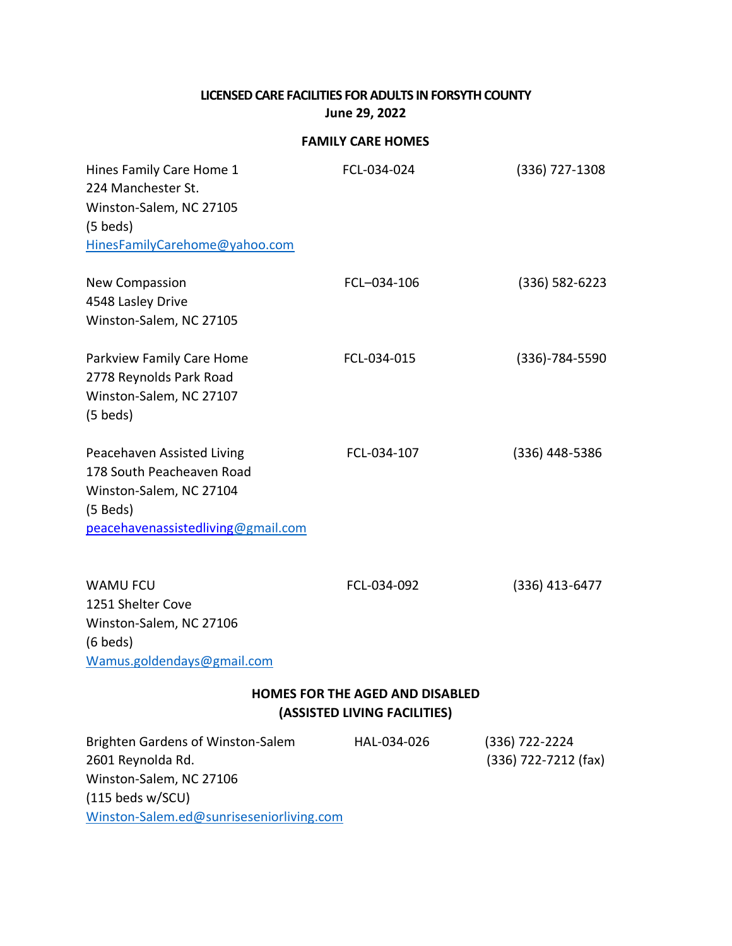## **LICENSED CARE FACILITIES FOR ADULTS IN FORSYTH COUNTY June 29, 2022**

## **FAMILY CARE HOMES**

| Hines Family Care Home 1<br>224 Manchester St.<br>Winston-Salem, NC 27105<br>$(5 \text{ beds})$<br>HinesFamilyCarehome@yahoo.com                    | FCL-034-024                                                            | $(336)$ 727-1308                       |
|-----------------------------------------------------------------------------------------------------------------------------------------------------|------------------------------------------------------------------------|----------------------------------------|
| <b>New Compassion</b><br>4548 Lasley Drive<br>Winston-Salem, NC 27105                                                                               | FCL-034-106                                                            | $(336) 582 - 6223$                     |
| Parkview Family Care Home<br>2778 Reynolds Park Road<br>Winston-Salem, NC 27107<br>$(5 \text{ beds})$                                               | FCL-034-015                                                            | $(336) - 784 - 5590$                   |
| Peacehaven Assisted Living<br>178 South Peacheaven Road<br>Winston-Salem, NC 27104<br>$(5$ Beds)<br>peacehavenassistedliving@gmail.com              | FCL-034-107                                                            | (336) 448-5386                         |
| <b>WAMU FCU</b><br>1251 Shelter Cove<br>Winston-Salem, NC 27106<br>$(6$ beds)<br>Wamus.goldendays@gmail.com                                         | FCL-034-092                                                            | $(336)$ 413-6477                       |
|                                                                                                                                                     | <b>HOMES FOR THE AGED AND DISABLED</b><br>(ASSISTED LIVING FACILITIES) |                                        |
| Brighten Gardens of Winston-Salem<br>2601 Reynolda Rd.<br>Winston-Salem, NC 27106<br>$(115$ beds w/SCU)<br>Winston-Salem.ed@sunriseseniorliving.com | HAL-034-026                                                            | (336) 722-2224<br>(336) 722-7212 (fax) |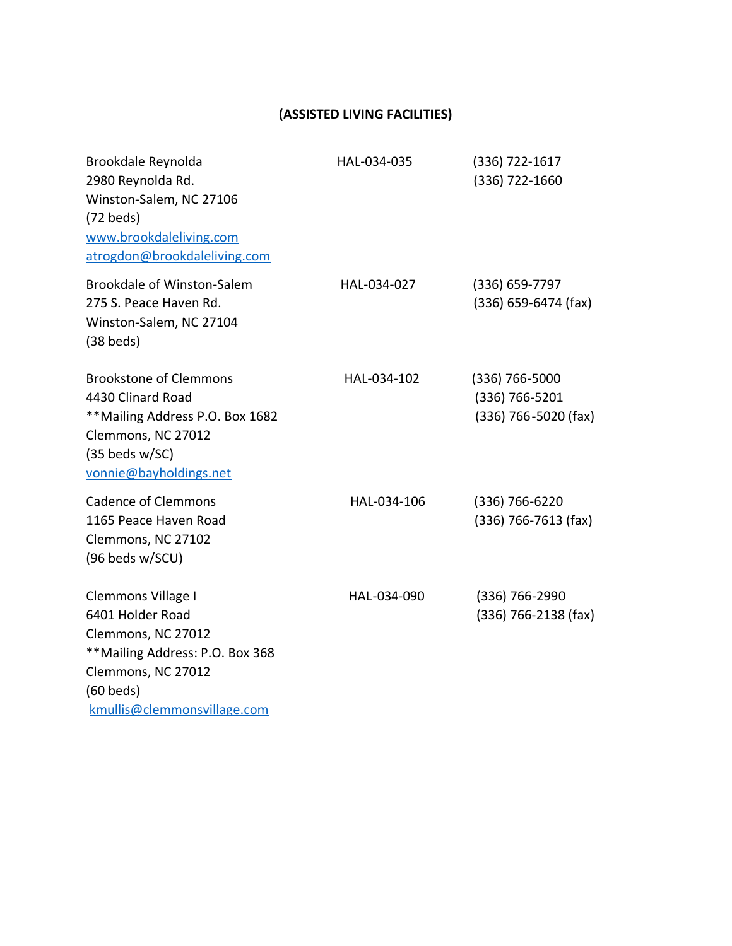| Brookdale Reynolda<br>2980 Reynolda Rd.<br>Winston-Salem, NC 27106<br>$(72$ beds)<br>www.brookdaleliving.com<br>atrogdon@brookdaleliving.com                        | HAL-034-035 | (336) 722-1617<br>(336) 722-1660                           |
|---------------------------------------------------------------------------------------------------------------------------------------------------------------------|-------------|------------------------------------------------------------|
| <b>Brookdale of Winston-Salem</b><br>275 S. Peace Haven Rd.<br>Winston-Salem, NC 27104<br>$(38$ beds)                                                               | HAL-034-027 | (336) 659-7797<br>$(336) 659-6474$ (fax)                   |
| <b>Brookstone of Clemmons</b><br>4430 Clinard Road<br>** Mailing Address P.O. Box 1682<br>Clemmons, NC 27012<br>$(35$ beds w/SC)<br>vonnie@bayholdings.net          | HAL-034-102 | $(336)$ 766-5000<br>(336) 766-5201<br>(336) 766-5020 (fax) |
| <b>Cadence of Clemmons</b><br>1165 Peace Haven Road<br>Clemmons, NC 27102<br>(96 beds w/SCU)                                                                        | HAL-034-106 | (336) 766-6220<br>$(336)$ 766-7613 (fax)                   |
| Clemmons Village I<br>6401 Holder Road<br>Clemmons, NC 27012<br>**Mailing Address: P.O. Box 368<br>Clemmons, NC 27012<br>$(60$ beds)<br>kmullis@clemmonsvillage.com | HAL-034-090 | (336) 766-2990<br>$(336)$ 766-2138 (fax)                   |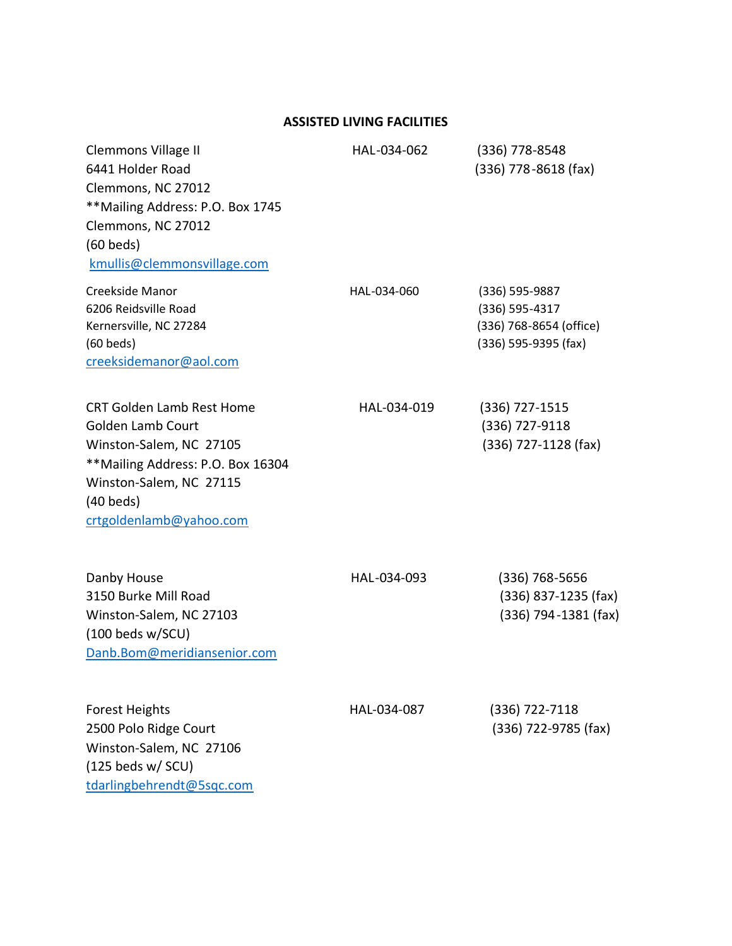| <b>Clemmons Village II</b><br>6441 Holder Road<br>Clemmons, NC 27012<br>** Mailing Address: P.O. Box 1745<br>Clemmons, NC 27012<br>$(60$ beds)<br>kmullis@clemmonsvillage.com                     | HAL-034-062 | $(336)$ 778-8548<br>$(336)$ 778-8618 (fax)                                              |
|---------------------------------------------------------------------------------------------------------------------------------------------------------------------------------------------------|-------------|-----------------------------------------------------------------------------------------|
| Creekside Manor<br>6206 Reidsville Road<br>Kernersville, NC 27284<br>$(60$ beds)<br>creeksidemanor@aol.com                                                                                        | HAL-034-060 | $(336) 595 - 9887$<br>(336) 595-4317<br>(336) 768-8654 (office)<br>(336) 595-9395 (fax) |
| <b>CRT Golden Lamb Rest Home</b><br><b>Golden Lamb Court</b><br>Winston-Salem, NC 27105<br>**Mailing Address: P.O. Box 16304<br>Winston-Salem, NC 27115<br>$(40$ beds)<br>crtgoldenlamb@yahoo.com | HAL-034-019 | (336) 727-1515<br>(336) 727-9118<br>(336) 727-1128 (fax)                                |
| Danby House<br>3150 Burke Mill Road<br>Winston-Salem, NC 27103<br>$(100$ beds w/SCU)<br>Danb.Bom@meridiansenior.com                                                                               | HAL-034-093 | $(336)$ 768-5656<br>$(336)$ 837-1235 (fax)<br>(336) 794-1381 (fax)                      |
| <b>Forest Heights</b><br>2500 Polo Ridge Court<br>Winston-Salem, NC 27106<br>$(125$ beds w/ SCU)<br>tdarlingbehrendt@5sqc.com                                                                     | HAL-034-087 | (336) 722-7118<br>(336) 722-9785 (fax)                                                  |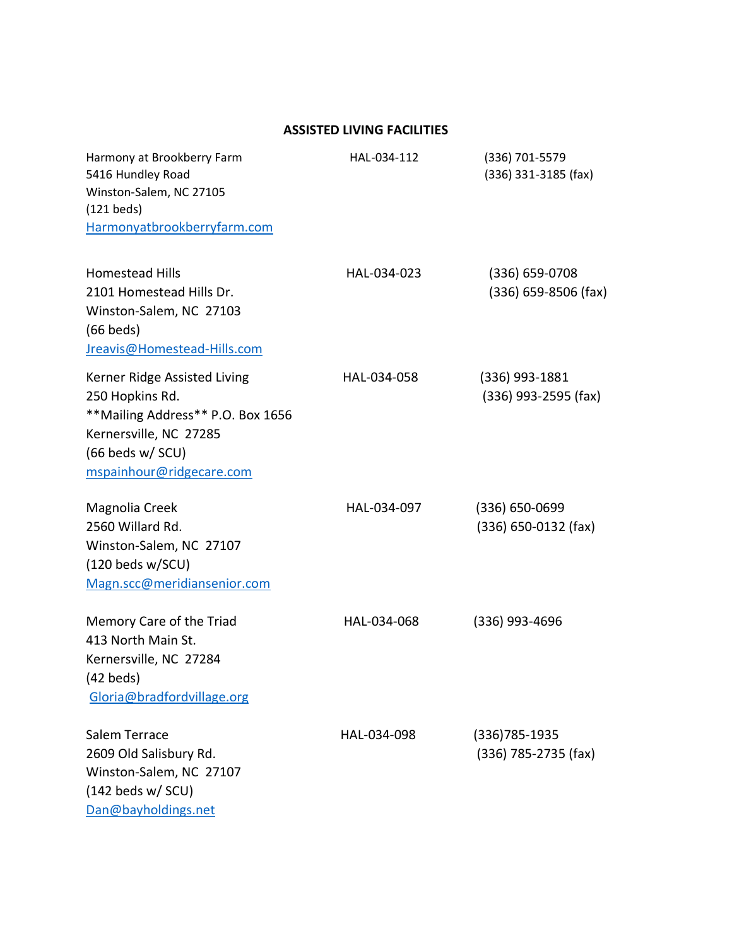| Harmony at Brookberry Farm<br>5416 Hundley Road<br>Winston-Salem, NC 27105<br>$(121$ beds)<br>Harmonyatbrookberryfarm.com                                       | HAL-034-112 | (336) 701-5579<br>(336) 331-3185 (fax)       |
|-----------------------------------------------------------------------------------------------------------------------------------------------------------------|-------------|----------------------------------------------|
| <b>Homestead Hills</b><br>2101 Homestead Hills Dr.<br>Winston-Salem, NC 27103<br>$(66$ beds)<br>Jreavis@Homestead-Hills.com                                     | HAL-034-023 | $(336) 659 - 0708$<br>(336) 659-8506 (fax)   |
| Kerner Ridge Assisted Living<br>250 Hopkins Rd.<br>** Mailing Address** P.O. Box 1656<br>Kernersville, NC 27285<br>(66 beds w/ SCU)<br>mspainhour@ridgecare.com | HAL-034-058 | (336) 993-1881<br>$(336)$ 993-2595 (fax)     |
| Magnolia Creek<br>2560 Willard Rd.<br>Winston-Salem, NC 27107<br>$(120$ beds w/SCU)<br>Magn.scc@meridiansenior.com                                              | HAL-034-097 | $(336) 650 - 0699$<br>$(336) 650-0132$ (fax) |
| Memory Care of the Triad<br>413 North Main St.<br>Kernersville, NC 27284<br>$(42$ beds)<br>Gloria@bradfordvillage.org                                           | HAL-034-068 | (336) 993-4696                               |
| Salem Terrace<br>2609 Old Salisbury Rd.<br>Winston-Salem, NC 27107<br>$(142$ beds w/ SCU)<br>Dan@bayholdings.net                                                | HAL-034-098 | $(336)785 - 1935$<br>(336) 785-2735 (fax)    |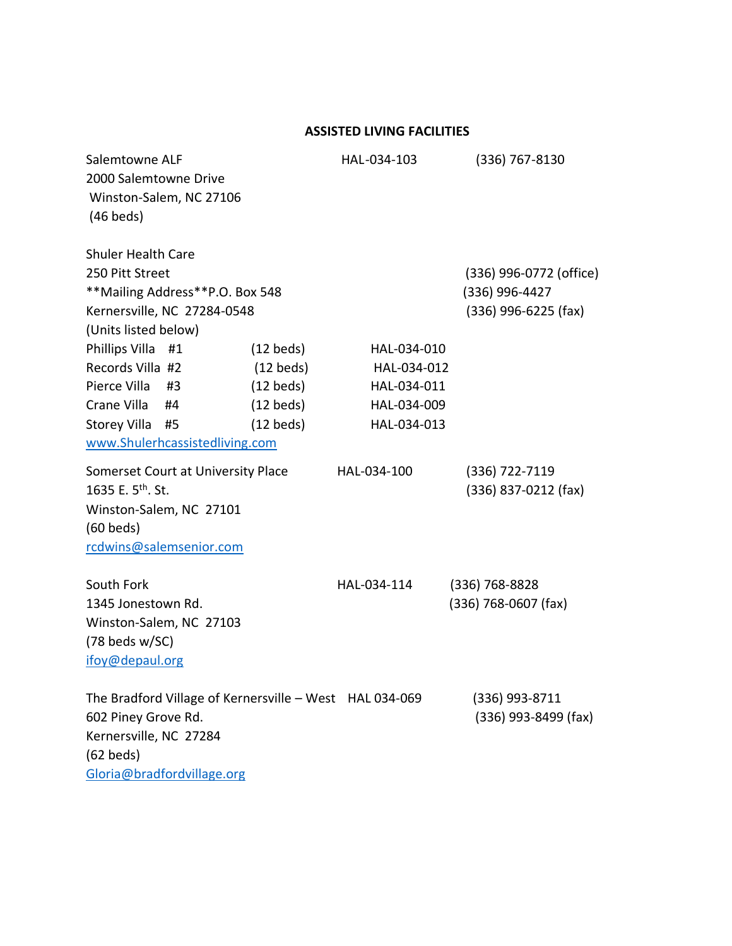| Salemtowne ALF<br>2000 Salemtowne Drive<br>Winston-Salem, NC 27106<br>$(46$ beds)                                                                     |                                            | HAL-034-103                | $(336)$ 767-8130                                                  |
|-------------------------------------------------------------------------------------------------------------------------------------------------------|--------------------------------------------|----------------------------|-------------------------------------------------------------------|
| <b>Shuler Health Care</b><br>250 Pitt Street<br>**Mailing Address**P.O. Box 548<br>Kernersville, NC 27284-0548                                        |                                            |                            | (336) 996-0772 (office)<br>(336) 996-4427<br>(336) 996-6225 (fax) |
| (Units listed below)                                                                                                                                  |                                            |                            |                                                                   |
| Phillips Villa #1                                                                                                                                     | $(12 \text{ beds})$                        | HAL-034-010                |                                                                   |
| Records Villa #2<br>Pierce Villa                                                                                                                      | $(12 \text{ beds})$                        | HAL-034-012                |                                                                   |
| #3<br>Crane Villa<br>#4                                                                                                                               | $(12 \text{ beds})$<br>$(12 \text{ beds})$ | HAL-034-011<br>HAL-034-009 |                                                                   |
| Storey Villa #5                                                                                                                                       | $(12 \text{ beds})$                        | HAL-034-013                |                                                                   |
| www.Shulerhcassistedliving.com                                                                                                                        |                                            |                            |                                                                   |
| Somerset Court at University Place<br>1635 E. 5 <sup>th</sup> . St.<br>Winston-Salem, NC 27101<br>$(60$ beds)<br>rcdwins@salemsenior.com              |                                            | HAL-034-100                | (336) 722-7119<br>$(336)$ 837-0212 (fax)                          |
| South Fork<br>1345 Jonestown Rd.<br>Winston-Salem, NC 27103<br>$(78$ beds w/SC)<br>ifoy@depaul.org                                                    |                                            | HAL-034-114                | $(336)$ 768-8828<br>(336) 768-0607 (fax)                          |
| The Bradford Village of Kernersville - West HAL 034-069<br>602 Piney Grove Rd.<br>Kernersville, NC 27284<br>$(62$ beds)<br>Gloria@bradfordvillage.org |                                            |                            | (336) 993-8711<br>(336) 993-8499 (fax)                            |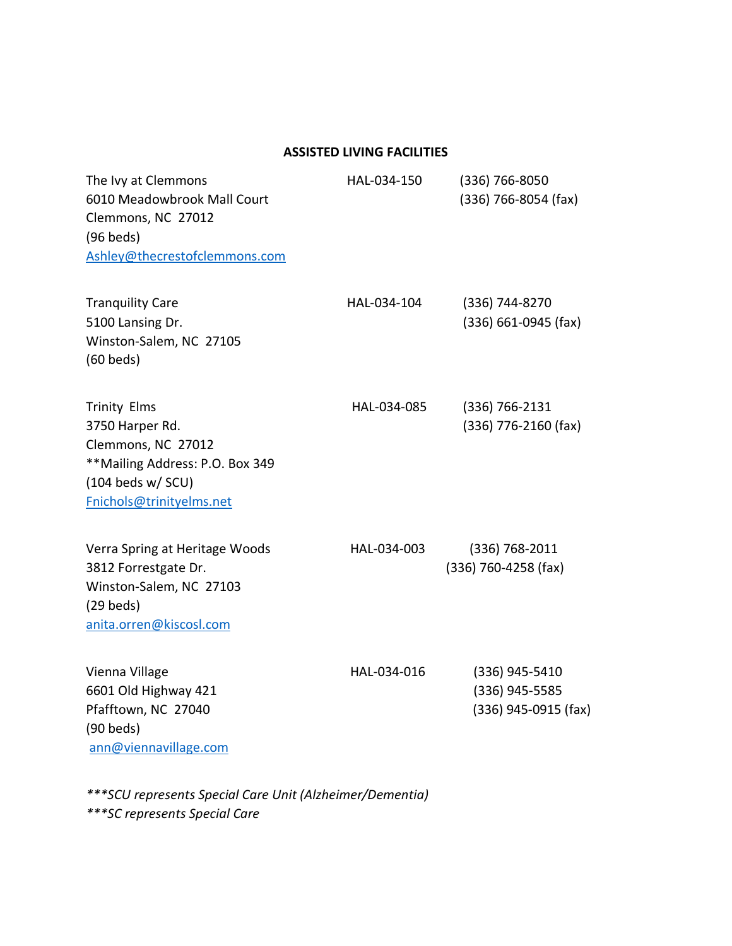| The Ivy at Clemmons<br>6010 Meadowbrook Mall Court<br>Clemmons, NC 27012<br>$(96$ beds)<br>Ashley@thecrestofclemmons.com                           | HAL-034-150 | $(336) 766 - 8050$<br>$(336)$ 766-8054 (fax)               |
|----------------------------------------------------------------------------------------------------------------------------------------------------|-------------|------------------------------------------------------------|
| <b>Tranquility Care</b><br>5100 Lansing Dr.<br>Winston-Salem, NC 27105<br>$(60$ beds)                                                              | HAL-034-104 | (336) 744-8270<br>$(336) 661 - 0945$ (fax)                 |
| <b>Trinity Elms</b><br>3750 Harper Rd.<br>Clemmons, NC 27012<br>**Mailing Address: P.O. Box 349<br>$(104$ beds w/ SCU)<br>Fnichols@trinityelms.net | HAL-034-085 | $(336) 766 - 2131$<br>(336) 776-2160 (fax)                 |
| Verra Spring at Heritage Woods<br>3812 Forrestgate Dr.<br>Winston-Salem, NC 27103<br>$(29$ beds)<br>anita.orren@kiscosl.com                        | HAL-034-003 | $(336) 768 - 2011$<br>(336) 760-4258 (fax)                 |
| Vienna Village<br>6601 Old Highway 421<br>Pfafftown, NC 27040<br>$(90$ beds)<br>ann@viennavillage.com                                              | HAL-034-016 | $(336)$ 945-5410<br>(336) 945-5585<br>(336) 945-0915 (fax) |

*\*\*\*SCU represents Special Care Unit (Alzheimer/Dementia) \*\*\*SC represents Special Care*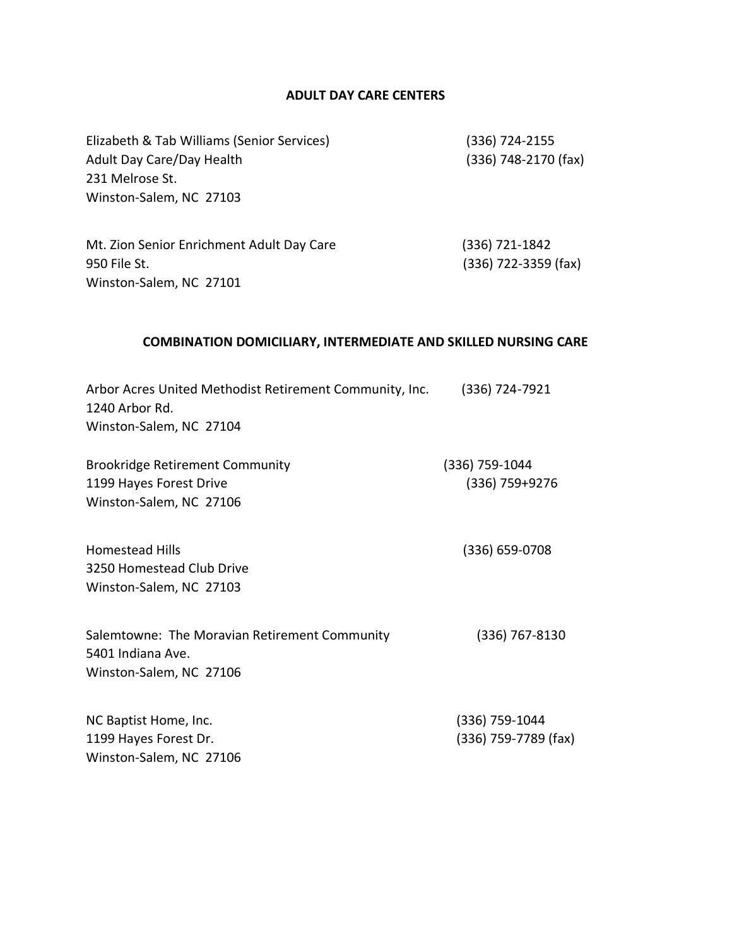## **ADULT DAY CARE CENTERS**

| Elizabeth & Tab Williams (Senior Services)<br>Adult Day Care/Day Health<br>231 Melrose St.<br>Winston-Salem, NC 27103 | $(336)$ 724-2155<br>(336) 748-2170 (fax)   |
|-----------------------------------------------------------------------------------------------------------------------|--------------------------------------------|
| Mt. Zion Senior Enrichment Adult Day Care<br>950 File St.<br>Winston-Salem, NC 27101                                  | $(336) 721 - 1842$<br>(336) 722-3359 (fax) |
| <b>COMBINATION DOMICILIARY, INTERMEDIATE AND SKILLED NURSING CARE</b>                                                 |                                            |
| Arbor Acres United Methodist Retirement Community, Inc.<br>1240 Arbor Rd.<br>Winston-Salem, NC 27104                  | $(336) 724 - 7921$                         |
| <b>Brookridge Retirement Community</b><br>1199 Hayes Forest Drive<br>Winston-Salem, NC 27106                          | (336) 759-1044<br>$(336) 759 + 9276$       |
| <b>Homestead Hills</b><br>3250 Homestead Club Drive<br>Winston-Salem, NC 27103                                        | $(336) 659 - 0708$                         |
| Salemtowne: The Moravian Retirement Community<br>5401 Indiana Ave.<br>Winston-Salem, NC 27106                         | $(336)$ 767-8130                           |
| NC Baptist Home, Inc.<br>1199 Hayes Forest Dr.<br>Winston-Salem, NC 27106                                             | (336) 759-1044<br>(336) 759-7789 (fax)     |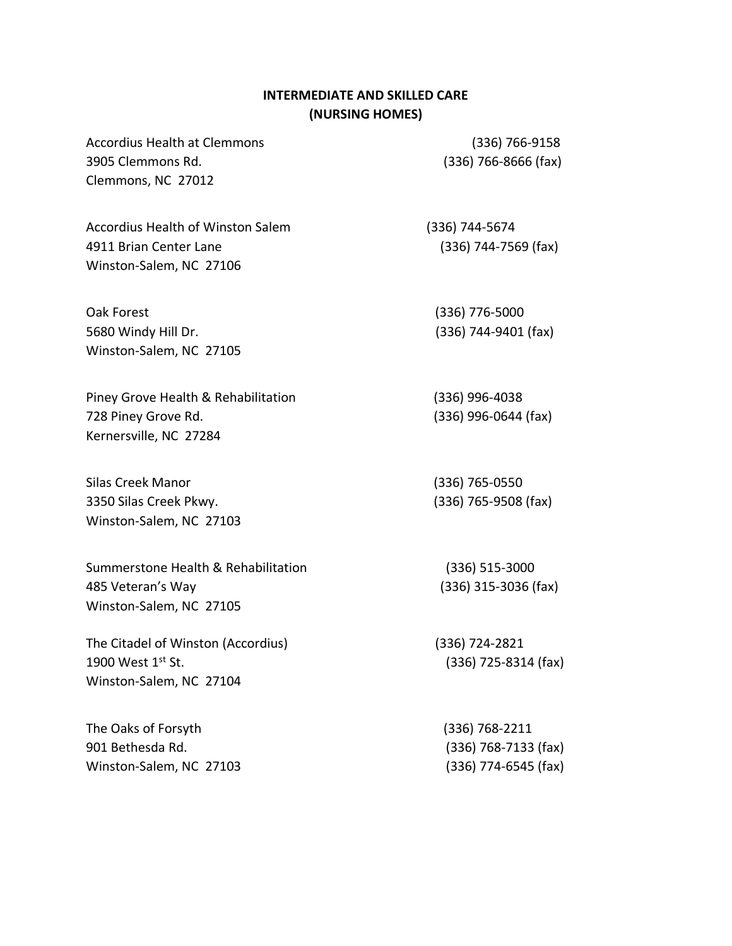### **INTERMEDIATE AND SKILLED CARE (NURSING HOMES)**

Accordius Health at Clemmons (336) 766-9158 3905 Clemmons Rd. (336) 766-8666 (fax) Clemmons, NC 27012

Accordius Health of Winston Salem (336) 744-5674 4911 Brian Center Lane (336) 744-7569 (fax) Winston-Salem, NC 27106

Oak Forest (336) 776-5000 5680 Windy Hill Dr. (336) 744-9401 (fax) Winston-Salem, NC 27105

Piney Grove Health & Rehabilitation (336) 996-4038 728 Piney Grove Rd. (336) 996-0644 (fax) Kernersville, NC 27284

Silas Creek Manor (336) 765-0550 3350 Silas Creek Pkwy. (336) 765-9508 (fax) Winston-Salem, NC 27103

Summerstone Health & Rehabilitation (336) 515-3000 485 Veteran's Way (336) 315-3036 (fax) Winston-Salem, NC 27105

The Citadel of Winston (Accordius) (336) 724-2821 1900 West  $1^{st}$  St.  $(336)$  725-8314 (fax) Winston-Salem, NC 27104

The Oaks of Forsyth (336) 768-2211 901 Bethesda Rd. (336) 768-7133 (fax) Winston-Salem, NC 27103 (336) 774-6545 (fax)